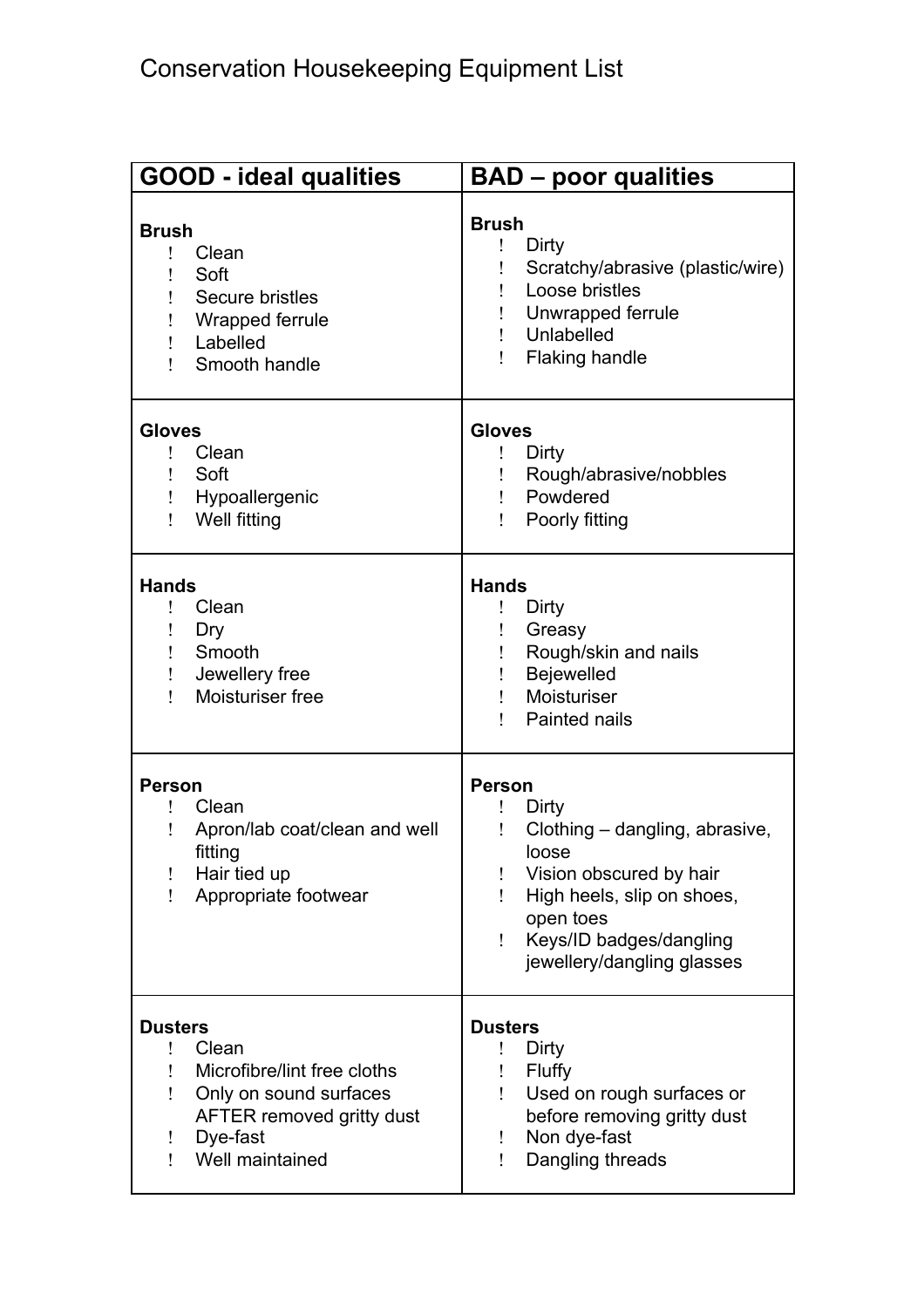| <b>GOOD - ideal qualities</b>                                                                                                                                      | <b>BAD - poor qualities</b>                                                                                                                                                                                |
|--------------------------------------------------------------------------------------------------------------------------------------------------------------------|------------------------------------------------------------------------------------------------------------------------------------------------------------------------------------------------------------|
| <b>Brush</b><br>Clean<br>L<br>Soft<br>Secure bristles<br>Wrapped ferrule<br>Labelled<br>Smooth handle<br>1                                                         | <b>Brush</b><br>Dirty<br>Scratchy/abrasive (plastic/wire)<br>Loose bristles<br>Unwrapped ferrule<br>Unlabelled<br><b>Flaking handle</b>                                                                    |
| <b>Gloves</b><br>Clean<br>ı<br>Soft<br>Hypoallergenic<br>Well fitting                                                                                              | <b>Gloves</b><br>Dirty<br>Rough/abrasive/nobbles<br>Powdered<br>Poorly fitting                                                                                                                             |
| <b>Hands</b><br>Clean<br>Ļ<br>Dry<br>Smooth<br>Jewellery free<br>Moisturiser free<br>L                                                                             | <b>Hands</b><br>Dirty<br>Greasy<br>Rough/skin and nails<br>Bejewelled<br>Moisturiser<br>Painted nails                                                                                                      |
| <b>Person</b><br>Clean<br>Apron/lab coat/clean and well<br>fitting<br>Hair tied up<br>Appropriate footwear<br>1.                                                   | <b>Person</b><br>Dirty<br>Clothing - dangling, abrasive,<br>loose<br>Vision obscured by hair<br>High heels, slip on shoes,<br>Ţ<br>open toes<br>Keys/ID badges/dangling<br>Ţ<br>jewellery/dangling glasses |
| <b>Dusters</b><br>Clean<br>ļ.<br>Microfibre/lint free cloths<br>Only on sound surfaces<br>Ţ<br>AFTER removed gritty dust<br>Dye-fast<br>Ī.<br>Well maintained<br>Ţ | <b>Dusters</b><br>Dirty<br><b>Fluffy</b><br>Used on rough surfaces or<br>before removing gritty dust<br>Non dye-fast<br>Ţ<br>Dangling threads<br>Ţ                                                         |